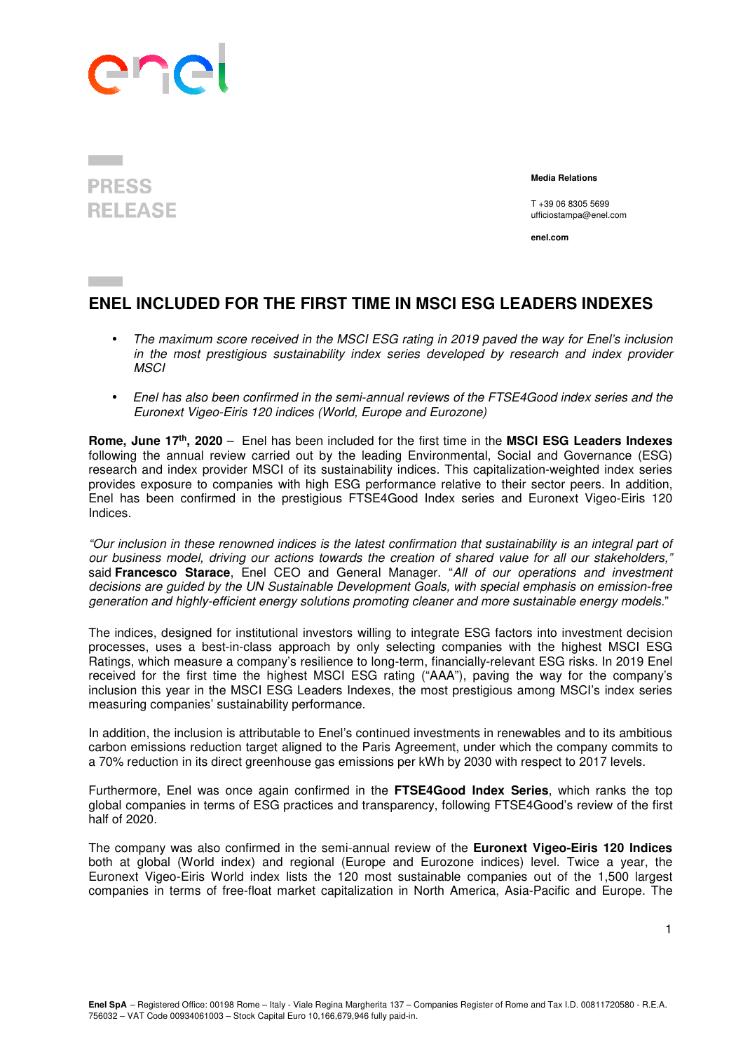

**PRESS RELEASE** 

 **Media Relations** 

T +39 06 8305 5699 ufficiostampa@enel.com

**enel.com**

## **ENEL INCLUDED FOR THE FIRST TIME IN MSCI ESG LEADERS INDEXES**

- The maximum score received in the MSCI ESG rating in 2019 paved the way for Enel's inclusion in the most prestigious sustainability index series developed by research and index provider **MSCI**
- Enel has also been confirmed in the semi-annual reviews of the FTSE4Good index series and the Euronext Vigeo-Eiris 120 indices (World, Europe and Eurozone)

**Rome, June 17th, 2020** – Enel has been included for the first time in the **MSCI ESG Leaders Indexes** following the annual review carried out by the leading Environmental, Social and Governance (ESG) research and index provider MSCI of its sustainability indices. This capitalization-weighted index series provides exposure to companies with high ESG performance relative to their sector peers. In addition, Enel has been confirmed in the prestigious FTSE4Good Index series and Euronext Vigeo-Eiris 120 Indices.

"Our inclusion in these renowned indices is the latest confirmation that sustainability is an integral part of our business model, driving our actions towards the creation of shared value for all our stakeholders," said **Francesco Starace**, Enel CEO and General Manager. "All of our operations and investment decisions are guided by the UN Sustainable Development Goals, with special emphasis on emission-free generation and highly-efficient energy solutions promoting cleaner and more sustainable energy models."

The indices, designed for institutional investors willing to integrate ESG factors into investment decision processes, uses a best-in-class approach by only selecting companies with the highest MSCI ESG Ratings, which measure a company's resilience to long-term, financially-relevant ESG risks. In 2019 Enel received for the first time the highest MSCI ESG rating ("AAA"), paving the way for the company's inclusion this year in the MSCI ESG Leaders Indexes, the most prestigious among MSCI's index series measuring companies' sustainability performance.

In addition, the inclusion is attributable to Enel's continued investments in renewables and to its ambitious carbon emissions reduction target aligned to the Paris Agreement, under which the company commits to a 70% reduction in its direct greenhouse gas emissions per kWh by 2030 with respect to 2017 levels.

Furthermore, Enel was once again confirmed in the **FTSE4Good Index Series**, which ranks the top global companies in terms of ESG practices and transparency, following FTSE4Good's review of the first half of 2020.

The company was also confirmed in the semi-annual review of the **Euronext Vigeo-Eiris 120 Indices** both at global (World index) and regional (Europe and Eurozone indices) level. Twice a year, the Euronext Vigeo-Eiris World index lists the 120 most sustainable companies out of the 1,500 largest companies in terms of free-float market capitalization in North America, Asia-Pacific and Europe. The